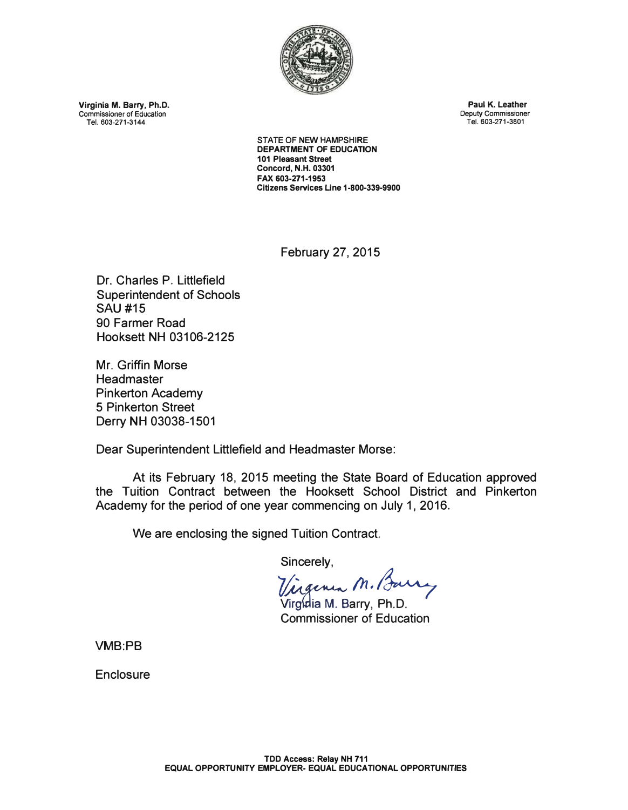

**Virginia M. Barry, Ph.D.**  Commissioner of Education **Tel. 603-271-3144** 

**Paul K. Leather**  Deputy Commissioner **Tel. 603-271-3801** 

**STATE OF NEW HAMPSHIRE DEPARTMENT OF EDUCATION 101 Pleasant Street Concord, N.H. 03301 FAX 603-271-1953 Citizens Services Line 1-800-339-9900** 

February 27, 2015

Dr. Charles P. Littlefield Superintendent of Schools SAU #15 90 Farmer Road Hooksett NH 03106-2125

Mr. Griffin Morse **Headmaster** Pinkerton Academy 5 Pinkerton Street Derry NH 03038-1501

Dear Superintendent Littlefield and Headmaster Morse:

At its February 18, 2015 meeting the State Board of Education approved the Tuition Contract between the Hooksett School District and Pinkerton Academy for the period of one year commencing on July 1, 2016.

We are enclosing the signed Tuition Contract.

Sincerely,

*7/l /h.�* 

Virgidia M. Barry, Ph.D. Commissioner of Education

**VMB:PB** 

**Enclosure**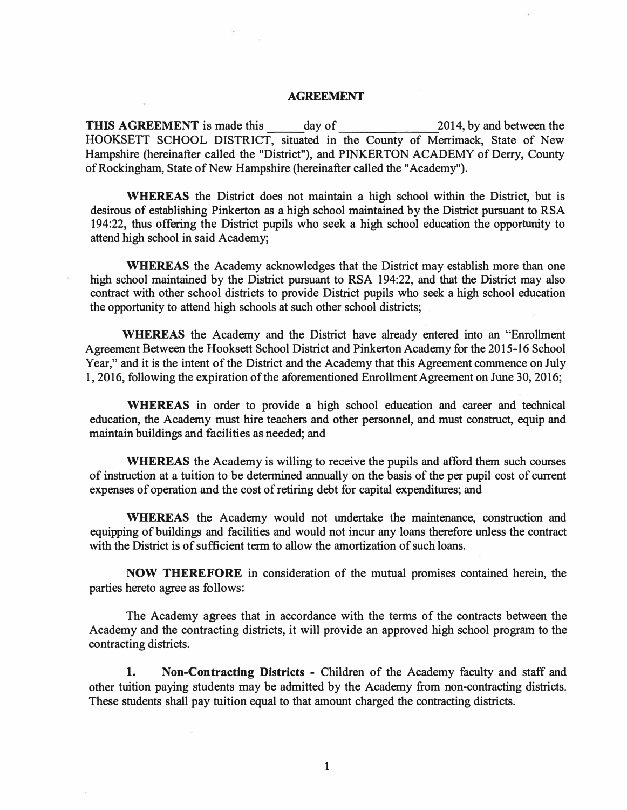### **AGREEMENT**

**THIS AGREEMENT** is made this day of 2014, by and between the HOOKSETT SCHOOL DISTRICT, situated in the County of Merrimack, State of New Hampshire (hereinafter called the "District"), and PINKERTON ACADEMY of Derry, County of Rockingham, State of New Hampshire (hereinafter called the "Academy").

**WHEREAS** the District does not maintain a high school within the District, but is desirous of establishing Pinkerton as a high school maintained by the District pursuant to RSA 194:22, thus offering the District pupils who seek a high school education the opportunity to attend high school in said Academy;

**WHEREAS** the Academy acknowledges that the District may establish more than one high school maintained by the District pursuant to RSA 194:22, and that the District may also contract with other school districts to provide District pupils who seek a high school education the opportunity to attend high schools at such other school districts;

**WHEREAS** the Academy and the District have already entered into an "Enrollment Agreement Between the Hooksett School District and Pinkerton Academy for the 2015-16 School Year," and it is the intent of the District and the Academy that this Agreement commence on July 1, 2016, following the expiration of the aforementioned Emollment Agreement on June 30, 2016;

**WHEREAS** in order to provide a high school education and career and technical education, the Academy must hire teachers and other personnel, and must construct, equip and maintain buildings and facilities as needed; and

**WHEREAS** the Academy is willing to receive the pupils and afford them such courses of instruction at a tuition to be determined annually on the basis of the per pupil cost of current expenses of operation and the cost of retiring debt for capital expenditures; and

**WHEREAS** the Academy would not undertake the maintenance, construction and equipping of buildings and facilities and would not incur any loans therefore unless the contract with the District is of sufficient term to allow the amortization of such loans.

**NOW THEREFORE** in consideration of the mutual promises contained herein, the parties hereto agree as follows:

The Academy agrees that in accordance with the terms of the contracts between the Academy and the contracting districts, it will provide an approved high school program to the contracting districts.

1. **Non-Contracting Districts** - Children of the Academy faculty and staff and other tuition paying students may be admitted by the Academy from non-contracting districts. These students shall pay tuition equal to that amount charged the contracting districts.

**1**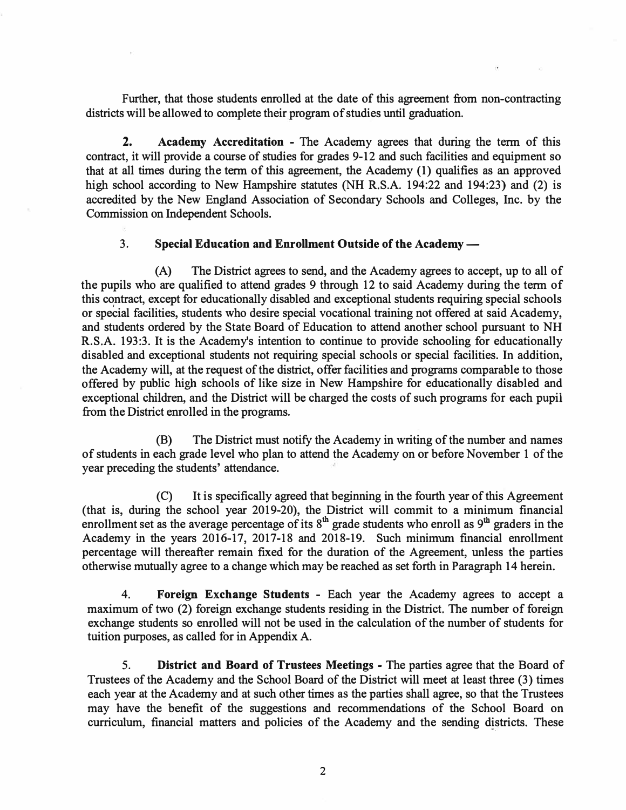Further, that those students enrolled at the date of this agreement from non-contracting districts will be allowed to complete their program of studies until graduation.

**2. Academy Accreditation** - The Academy agrees that during the term of this contract, it will provide a course of studies for grades 9-12 and such facilities and equipment so that at all times during the term of this agreement, the Academy (1) qualifies as an approved high school according to New Hampshire statutes (NH R.S.A. 194:22 and 194:23) and (2) is accredited by the New England Association of Secondary Schools and Colleges, Inc. by the Commission on Independent Schools.

## 3. **Special Education and Enrollment Outside of the Academy-**

(A) The District agrees to send, and the Academy agrees to accept, up to all of the pupils who are qualified to attend grades 9 through 12 to said Academy during the term of this contract, except for educationally disabled and exceptional students requiring special schools or special facilities, students who desire special vocational training not offered at said Academy, and students ordered by the State Board of Education to attend another school pursuant to NH R.S.A. 193:3. It is the Academy's intention to continue to provide schooling for educationally disabled and exceptional students not requiring special schools or special facilities. In addition, the Academy will, at the request of the district, offer facilities and programs comparable to those offered by public high schools of like size in New Hampshire for educationally disabled and exceptional children, and the District will be charged the costs of such programs for each pupii from the District enrolled in the programs.

(B) The District must notify the Academy in writing of the number and names of students in each grade level who plan to attend the Academy on or before November 1 of the year preceding the students' attendance.

(C) It is specifically agreed that beginning in the fourth year of this Agreement (that is, during the school year 2019-20), the District will commit to a minimum financial enrollment set as the average percentage of its  $8<sup>th</sup>$  grade students who enroll as  $9<sup>th</sup>$  graders in the Academy in the years 2016-17, 2017-18 and 2018-19. Such minimum financial enrollment percentage will thereafter remain fixed for the duration of the Agreement, unless the parties otherwise mutually agree to a change which may be reached as set forth in Paragraph 14 herein.

4. **Foreign Exchange Students** - Each year the Academy agrees to accept a maximum of two (2) foreign exchange students residing in the District. The number of foreign exchange students so enrolled will not be used in the calculation of the number of students for tuition purposes, as called for in Appendix A.

5. **District and Board of Trustees Meetings** - The parties agree that the Board of Trustees of the Academy and the School Board of the District will meet at least three (3) times each year at the Academy and at such other times as the parties shall agree, so that the Trustees may have the benefit of the suggestions and recommendations of the School Board on curriculum, financial matters and policies of the Academy and the sending districts. These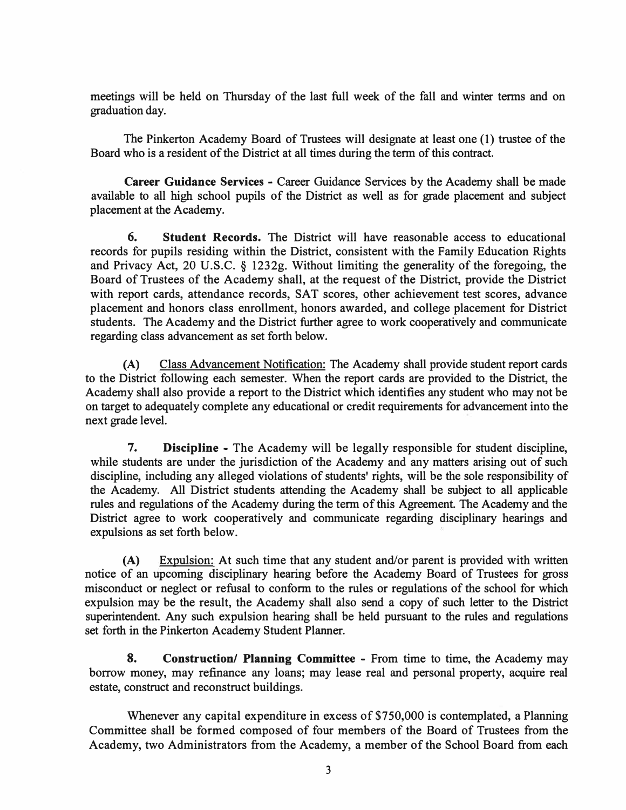meetings will be held on Thursday of the last full week of the fall and winter terms and on graduation day.

The Pinkerton Academy Board of Trustees will designate at least one (1) trustee of the Board who is a resident of the District at all times during the term of this contract.

**Career Guidance Services** - Career Guidance Services by the Academy shall be made available to all high school pupils of the District as well as for grade placement and subject placement at the Academy.

**6. Student Records.** The District will have reasonable access to educational records for pupils residing within the District, consistent with the Family Education Rights and Privacy Act, 20 U.S.C. § 1232g. Without limiting the generality of the foregoing, the Board of Trustees of the Academy shall, at the request of the District, provide the District with report cards, attendance records, SAT scores, other achievement test scores, advance placement and honors class enrollment, honors awarded, and college placement for District students. The Academy and the District further agree to work cooperatively and communicate regarding class advancement as set forth below.

**(A)** Class Advancement Notification: The Academy shall provide student report cards to the District following each semester. When the report cards are provided to the District, the Academy shall also provide a report to the District which identifies any student who may not be on target to adequately complete any educational or credit requirements for advancement into the next grade level.

7. **Discipline** - The Academy will be legally responsible for student discipline, while students are under the jurisdiction of the Academy and any matters arising out of such discipline, including any alleged violations of students' rights, will be the sole responsibility of the Academy. All District students attending the Academy shall be subject to all applicable rules and regulations of the Academy during the term of this Agreement. The Academy and the District agree to work cooperatively and communicate regarding disciplinary hearings and expulsions as set forth below.

(A) Expulsion: At such time that any student and/or parent is provided with written notice of an upcoming disciplinary hearing before the Academy Board of Trustees for gross misconduct or neglect or refusal to conform to the rules or regulations of the school for which expulsion may be the result, the Academy shall also send a copy of such letter to the District superintendent. Any such expulsion hearing shall be held pursuant to the rules and regulations set forth in the Pinkerton Academy Student Planner.

**8. Construction/ Planning Committee** - From time to time, the Academy may borrow money, may refinance any loans; may lease real and personal property, acquire real estate, construct and reconstruct buildings.

Whenever any capital expenditure in excess of \$750,000 is contemplated, a Planning Committee shall be formed composed of four members of the Board of Trustees from the Academy, two Administrators from the Academy, a member of the School Board from each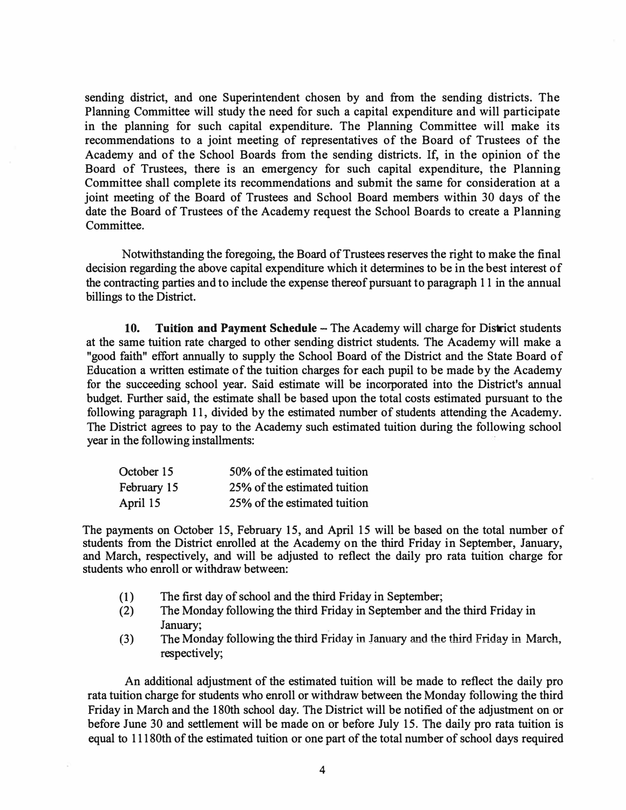sending district, and one Superintendent chosen by and from the sending districts. The Planning Committee will study the need for such a capital expenditure and will participate in the planning for such capital expenditure. The Planning Committee will make its recommendations to a joint meeting of representatives of the Board of Trustees of the Academy and of the School Boards from the sending districts. If, in the opinion of the Board of Trustees, there is an emergency for such capital expenditure, the Planning Committee shall complete its recommendations and submit the same for consideration at a joint meeting of the Board of Trustees and School Board members within 30 days of the date the Board of Trustees of the Academy request the School Boards to create a Planning Committee.

Notwithstanding the foregoing, the Board of Trustees reserves the right to make the final decision regarding the above capital expenditure which it determines to be in the best interest of the contracting parties and to include the expense thereof pursuant to paragraph 11 in the annual billings to the District.

**10. Tuition and Payment Schedule – The Academy will charge for District students** at the same tuition rate charged to other sending district students. The Academy will make a "good faith" effort annually to supply the School Board of the District and the State Board of Education a written estimate of the tuition charges for each pupil to be made by the Academy for the succeeding school year. Said estimate will be incorporated into the District's annual budget. Further said, the estimate shall be based upon the total costs estimated pursuant to the following paragraph 11, divided by the estimated number of students attending the Academy. The District agrees to pay to the Academy such estimated tuition during the following school year in the following installments:

| 50% of the estimated tuition |
|------------------------------|
| 25% of the estimated tuition |
| 25% of the estimated tuition |
|                              |

The payments on October 15, February 15, and April 15 will be based on the total number of students from the District enrolled at the Academy on the third Friday in September, January, and March, respectively, and will be adjusted to reflect the daily pro rata tuition charge for students who enroll or withdraw between:

- (1) The first day of school and the third Friday in September;<br>(2) The Monday following the third Friday in September and
- The Monday following the third Friday in September and the third Friday in January;
- (3) The Monday following the third Friday in January and the third Friday in March, respectively;

An additional adjustment of the estimated tuition will be made to reflect the daily pro rata tuition charge for students who enroll or withdraw between the Monday following the third Friday in March and the 180th school day. The District will be notified of the adjustment on or before June 30 and settlement will be made on or before July 15. The daily pro rata tuition is equal to 11180th of the estimated tuition or one part of the total number of school days required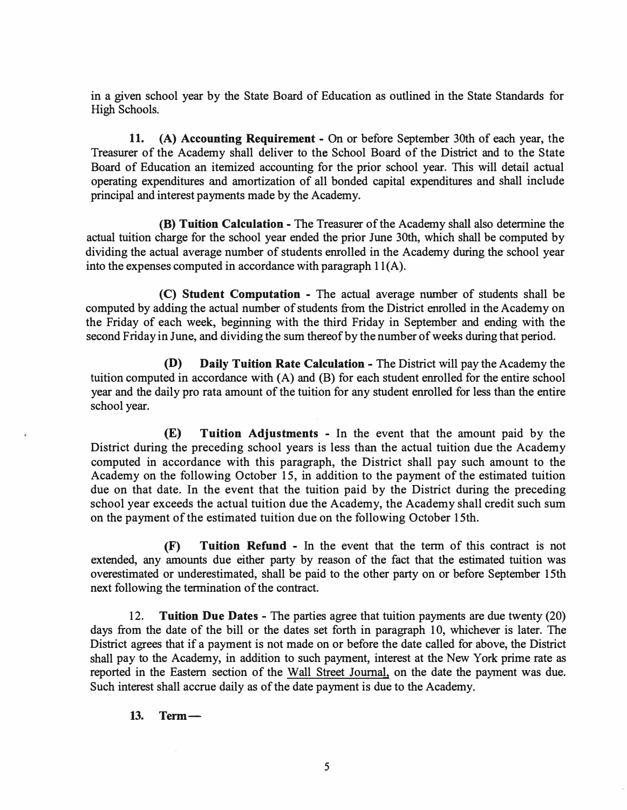in a given school year by the State Board of Education as outlined in the State Standards for High Schools.

**11. (A) Accounting Requirement** - On or before September 30th of each year, the Treasurer of the Academy shall deliver to the School Board of the District and to the State Board of Education an itemized accounting for the prior school year. This will detail actual operating expenditures and amortization of all bonded capital expenditures and shall include principal and interest payments made by the Academy.

**(B) Tuition Calculation** - The Treasurer of the Academy shall also determine the actual tuition charge for the school year ended the prior June 30th, which shall be computed by dividing the actual average number of students enrolled in the Academy during the school year into the expenses computed in accordance with paragraph  $11(A)$ .

**(C) Student Computation** - The actual average number of students shall be computed by adding the actual number of students from the District enrolled in the Academy on the Friday of each week, beginning with the third Friday in September and ending with the second Friday in June, and dividing the sum thereof by the number of weeks during that period.

**(D) Daily Tuition Rate Calculation** - The District will pay the Academy the tuition computed in accordance with (A) and (B) for each student enrolled for the entire school year and the daily pro rata amount of the tuition for any student enrolled for less than the entire school year.

(E) **Tuition Adjustments** - In the event that the amount paid by the District during the preceding school years is less than the actual tuition due the Academy computed in accordance with this paragraph, the District shall pay such amount to the Academy on the following October 15, in addition to the payment of the estimated tuition due on that date. In the event that the tuition paid by the District during the preceding school year exceeds the actual tuition due the Academy, the Academy shall credit such sum on the payment of the estimated tuition due on the following October 15th.

**(F) Tuition Refund** - In the event that the term of this contract is not extended, any amounts due either party by reason of the fact that the estimated tuition was overestimated or underestimated, shall be paid to the other party on or before September 15th next following the termination of the contract.

12. **Tuition Due Dates** - The parties agree that tuition payments are due twenty (20) days from the date of the bill or the dates set forth in paragraph 10, whichever is later. The District agrees that if a payment is not made on or before the date called for above, the District shall pay to the Academy, in addition to such payment, interest at the New York prime rate as reported in the Eastern section of the Wall Street Journal, on the date the payment was due. Such interest shall accrue daily as of the date payment is due to the Academy.

**13. Term-**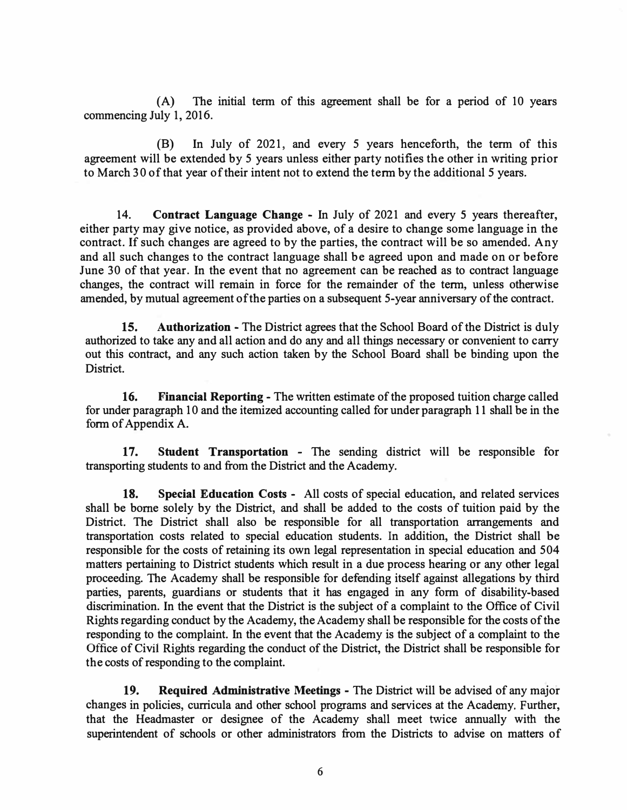(A) The initial term of this agreement shall be for a period of 10 years commencing July 1, 2016.

(B) In July of 2021, and every 5 years henceforth, the term of this agreement will be extended by 5 years unless either party notifies the other in writing prior to March 30 of that year of their intent not to extend the term by the additional *5* years.

14. **Contract Language Change** - In July of 2021 and every *5* years thereafter, either party may give notice, as provided above, of a desire to change some language in the contract. If such changes are agreed to by the parties, the contract will be so amended. Any and all such changes to the contract language shall be agreed upon and made on or before June 30 of that year. In the event that no agreement can be reached as to contract language changes, the contract will remain in force for the remainder of the term, unless otherwise amended, by mutual agreement of the parties on a subsequent 5-year anniversary of the contract.

**15. Authorization** - The District agrees that the School Board of the District is duly authorized to take any and all action and do any and all things necessary or convenient to carry out this contract, and any such action taken by the School Board shall be binding upon the District.

**16. Financial Reporting** - The written estimate of the proposed tuition charge called for under paragraph 10 and the itemized accounting called for under paragraph 11 shall be in the form of Appendix A.

**17. Student Transportation** - The sending district will be responsible for transporting students to and from the District and the Academy.

**18. Special Education Costs** - All costs of special education, and related services shall be borne solely by the District, and shall be added to the costs of tuition paid by the District. The District shall also be responsible for all transportation arrangements and transportation costs related to special education students. In addition, the District shall be responsible for the costs of retaining its own legal representation in special education and 504 matters pertaining to District students which result in a due process hearing or any other legal proceeding. The Academy shall be responsible for defending itself against allegations by third parties, parents, guardians or students that it has engaged in any form of disability-based discrimination. In the event that the District is the subject of a complaint to the Office of Civil Rights regarding conduct by the Academy, the Academy shall be responsible for the costs of the responding to the complaint. In the event that the Academy is the subject of a complaint to the Office of Civil Rights regarding the conduct of the District, the District shall be responsible for the costs of responding to the complaint.

**19. Required Administrative Meetings** - The District will be advised of any major changes in policies, curricula and other school programs and services at the Academy. Further, that the Headmaster or designee of the Academy shall meet twice annually with the superintendent of schools or other administrators from the Districts to advise on matters of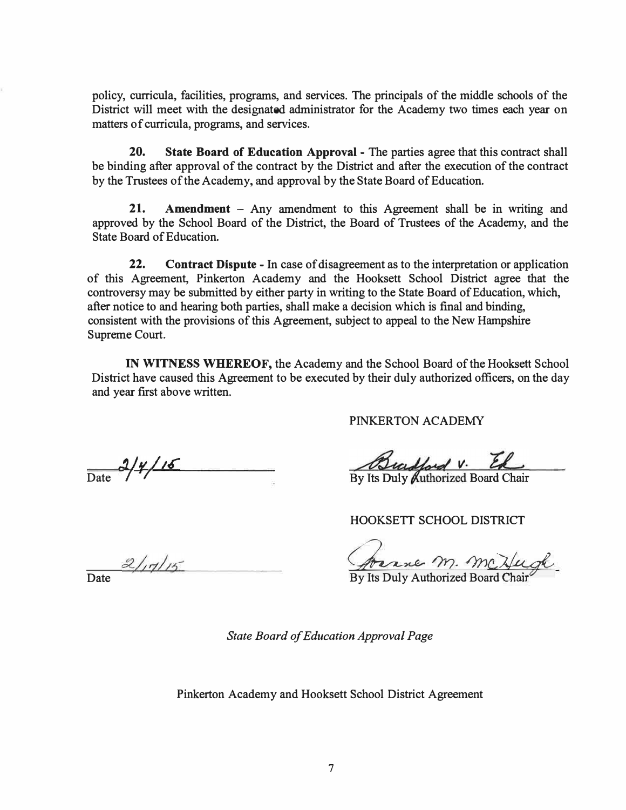policy, curricula, facilities, programs, and services. The principals of the middle schools of the District will meet with the designated administrator for the Academy two times each year on matters of curricula, programs, and services.

**20. State Board of Education Approval** - The parties agree that this contract shall be binding after approval of the contract by the District and after the execution of the contract by the Trustees of the Academy, and approval by the State Board of Education.

**21. Amendment** - Any amendment to this Agreement shall be in writing and approved by the School Board of the District, the Board of Trustees of the Academy, and the State Board of Education.

**22. Contract Dispute** - In case of disagreement as to the interpretation or application of this Agreement, Pinkerton Academy and the Hooksett School District agree that the controversy may be submitted by either party in writing to the State Board of Education, which, after notice to and hearing both parties, shall make a decision which is final and binding, consistent with the provisions of this Agreement, subject to appeal to the New Hampshire Supreme Court.

**IN WITNESS WHEREOF,** the Academy and the School Board of the Hooksett School District have caused this Agreement to be executed by their duly authorized officers, on the day and year first above written.

PINKERTON ACADEMY

 $\frac{2}{y^{16}}$ 

Bradford V. El

HOOKSETT SCHOOL DISTRICT

2/17/15 <u>Perince M. McKugh</u>

*State Board of Education Approval Page* 

Pinkerton Academy and Hooksett School District Agreement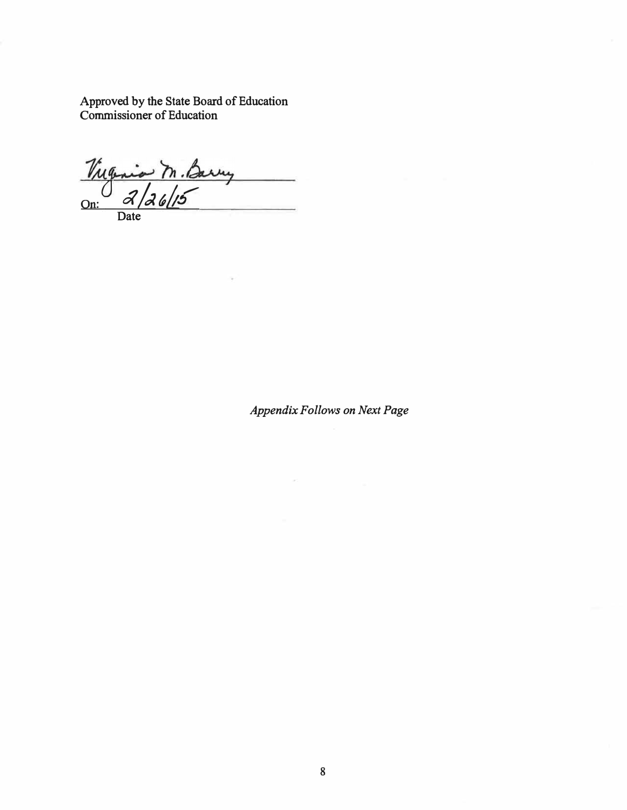**Approved by the State Board of Education Commissioner of Education** 

Virginia M. Barry  $\overline{\phantom{a}}$ **On: Date** 

*Appendix Follows on Next Page*